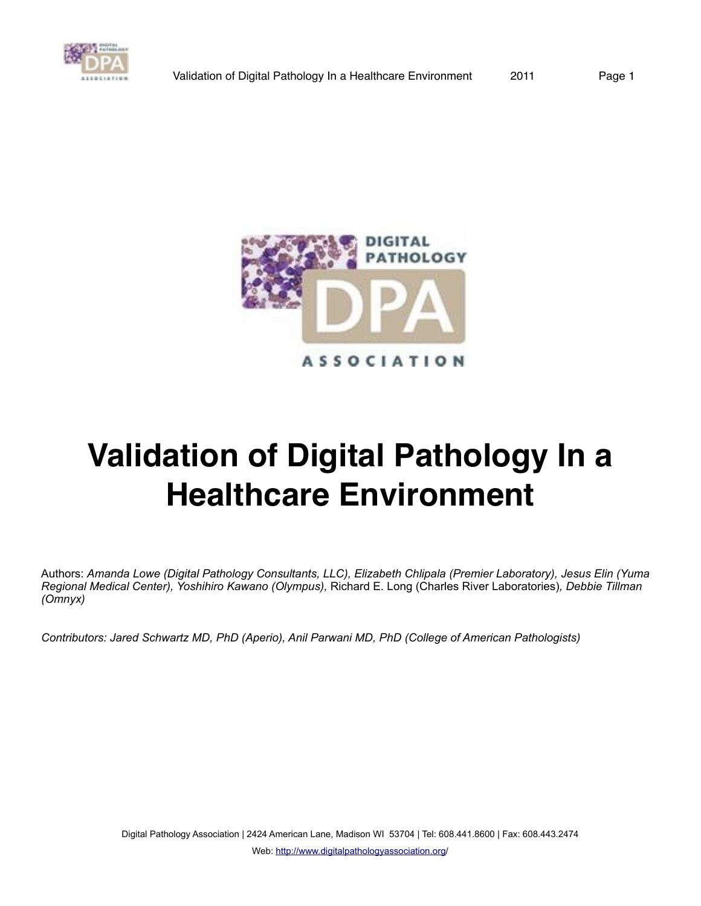



Authors: *Amanda Lowe (Digital Pathology Consultants, LLC), Elizabeth Chlipala (Premier Laboratory), Jesus Elin (Yuma Regional Medical Center), Yoshihiro Kawano (Olympus),* Richard E. Long (Charles River Laboratories)*, Debbie Tillman (Omnyx)*

*Contributors: Jared Schwartz MD, PhD (Aperio), Anil Parwani MD, PhD (College of American Pathologists)*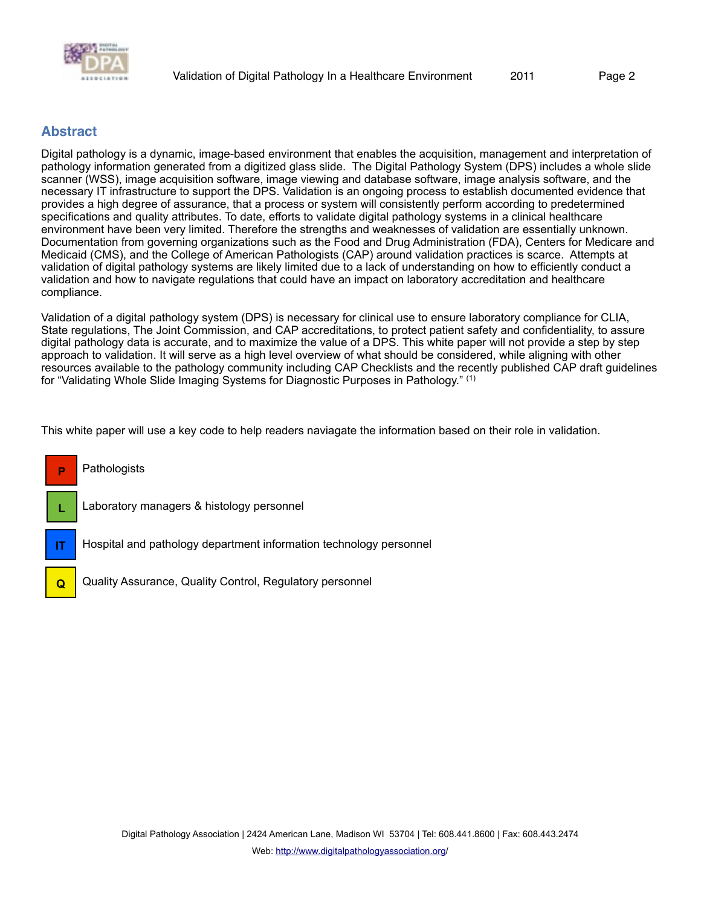

## **Abstract**

**Q**

Digital pathology is a dynamic, image-based environment that enables the acquisition, management and interpretation of pathology information generated from a digitized glass slide. The Digital Pathology System (DPS) includes a whole slide scanner (WSS), image acquisition software, image viewing and database software, image analysis software, and the necessary IT infrastructure to support the DPS. Validation is an ongoing process to establish documented evidence that provides a high degree of assurance, that a process or system will consistently perform according to predetermined specifications and quality attributes. To date, efforts to validate digital pathology systems in a clinical healthcare environment have been very limited. Therefore the strengths and weaknesses of validation are essentially unknown. Documentation from governing organizations such as the Food and Drug Administration (FDA), Centers for Medicare and Medicaid (CMS), and the College of American Pathologists (CAP) around validation practices is scarce. Attempts at validation of digital pathology systems are likely limited due to a lack of understanding on how to efficiently conduct a validation and how to navigate regulations that could have an impact on laboratory accreditation and healthcare compliance.

Validation of a digital pathology system (DPS) is necessary for clinical use to ensure laboratory compliance for CLIA, State regulations, The Joint Commission, and CAP accreditations, to protect patient safety and confidentiality, to assure digital pathology data is accurate, and to maximize the value of a DPS. This white paper will not provide a step by step approach to validation. It will serve as a high level overview of what should be considered, while aligning with other resources available to the pathology community including CAP Checklists and the recently published CAP draft guidelines for "Validating Whole Slide Imaging Systems for Diagnostic Purposes in Pathology." (1)

This white paper will use a key code to help readers naviagate the information based on their role in validation.



Quality Assurance, Quality Control, Regulatory personnel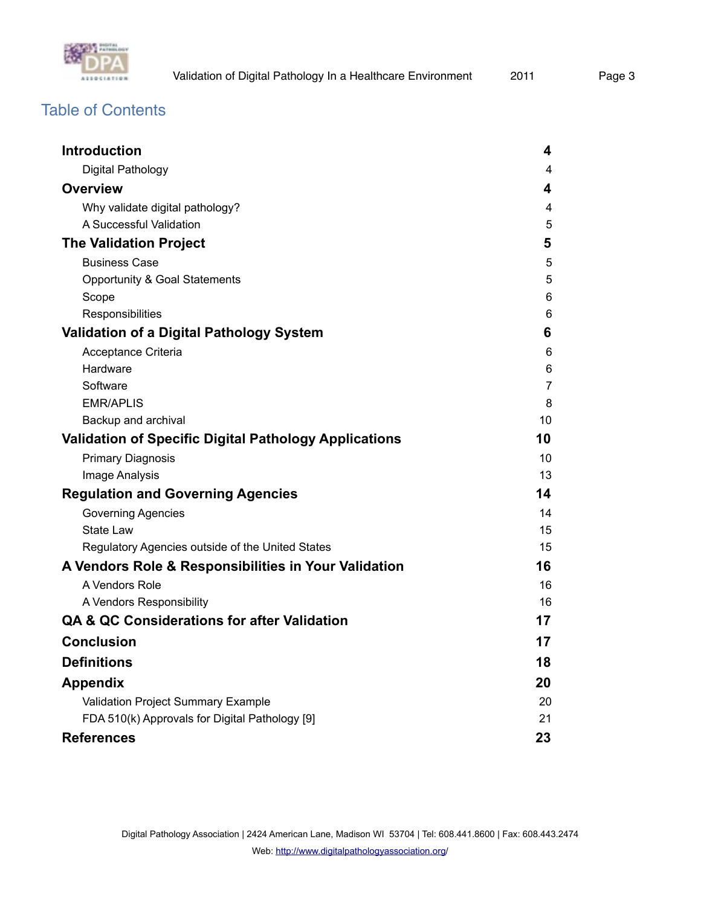

# Table of Contents

| <b>Introduction</b>                                          | 4  |
|--------------------------------------------------------------|----|
| Digital Pathology                                            | 4  |
| <b>Overview</b>                                              | 4  |
| Why validate digital pathology?                              | 4  |
| A Successful Validation                                      | 5  |
| <b>The Validation Project</b>                                | 5  |
| <b>Business Case</b>                                         | 5  |
| Opportunity & Goal Statements                                | 5  |
| Scope                                                        | 6  |
| Responsibilities                                             | 6  |
| <b>Validation of a Digital Pathology System</b>              | 6  |
| Acceptance Criteria                                          | 6  |
| Hardware                                                     | 6  |
| Software                                                     | 7  |
| <b>EMR/APLIS</b>                                             | 8  |
| Backup and archival                                          | 10 |
| <b>Validation of Specific Digital Pathology Applications</b> | 10 |
| <b>Primary Diagnosis</b>                                     | 10 |
| Image Analysis                                               | 13 |
| <b>Regulation and Governing Agencies</b>                     | 14 |
| <b>Governing Agencies</b>                                    | 14 |
| <b>State Law</b>                                             | 15 |
| Regulatory Agencies outside of the United States             | 15 |
| A Vendors Role & Responsibilities in Your Validation         | 16 |
| A Vendors Role                                               | 16 |
| A Vendors Responsibility                                     | 16 |
| <b>QA &amp; QC Considerations for after Validation</b>       | 17 |
| <b>Conclusion</b>                                            | 17 |
| <b>Definitions</b>                                           | 18 |
| <b>Appendix</b>                                              | 20 |
| Validation Project Summary Example                           | 20 |
| FDA 510(k) Approvals for Digital Pathology [9]               | 21 |
| <b>References</b>                                            | 23 |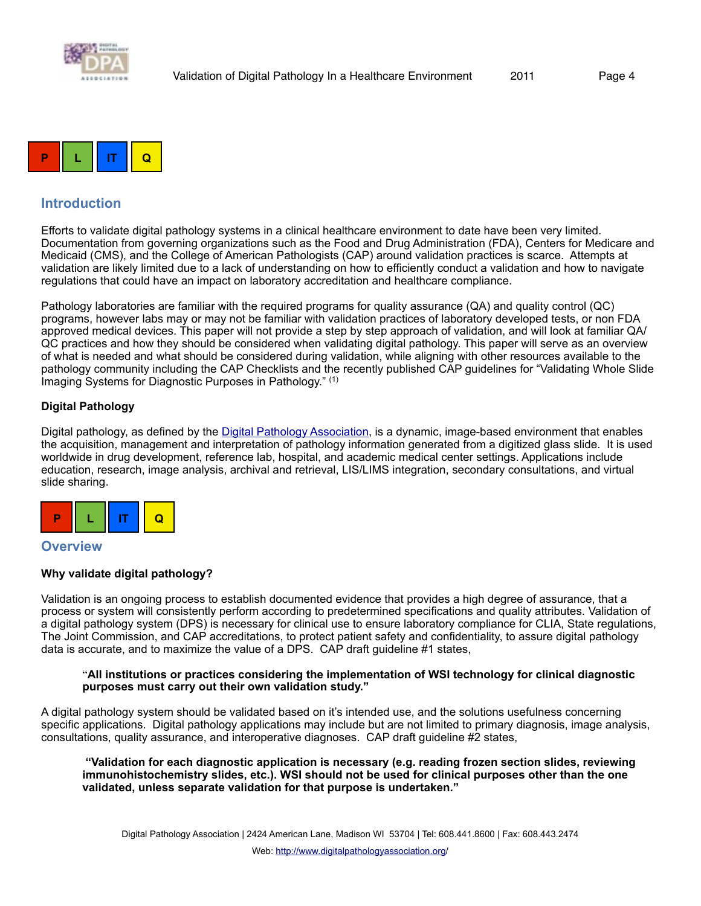



## <span id="page-3-0"></span>**Introduction**

Efforts to validate digital pathology systems in a clinical healthcare environment to date have been very limited. Documentation from governing organizations such as the Food and Drug Administration (FDA), Centers for Medicare and Medicaid (CMS), and the College of American Pathologists (CAP) around validation practices is scarce. Attempts at validation are likely limited due to a lack of understanding on how to efficiently conduct a validation and how to navigate regulations that could have an impact on laboratory accreditation and healthcare compliance.

Pathology laboratories are familiar with the required programs for quality assurance (QA) and quality control (QC) programs, however labs may or may not be familiar with validation practices of laboratory developed tests, or non FDA approved medical devices. This paper will not provide a step by step approach of validation, and will look at familiar QA/ QC practices and how they should be considered when validating digital pathology. This paper will serve as an overview of what is needed and what should be considered during validation, while aligning with other resources available to the pathology community including the CAP Checklists and the recently published CAP guidelines for "Validating Whole Slide Imaging Systems for Diagnostic Purposes in Pathology." (1)

#### <span id="page-3-1"></span>**Digital Pathology**

Digital pathology, as defined by the [Digital Pathology Association](http://www.digitalpathologyassociation.com), is a dynamic, image-based environment that enables the acquisition, management and interpretation of pathology information generated from a digitized glass slide. It is used worldwide in drug development, reference lab, hospital, and academic medical center settings. Applications include education, research, image analysis, archival and retrieval, LIS/LIMS integration, secondary consultations, and virtual slide sharing.



#### <span id="page-3-2"></span>**Overview**

#### <span id="page-3-3"></span>**Why validate digital pathology?**

Validation is an ongoing process to establish documented evidence that provides a high degree of assurance, that a process or system will consistently perform according to predetermined specifications and quality attributes. Validation of a digital pathology system (DPS) is necessary for clinical use to ensure laboratory compliance for CLIA, State regulations, The Joint Commission, and CAP accreditations, to protect patient safety and confidentiality, to assure digital pathology data is accurate, and to maximize the value of a DPS. CAP draft guideline #1 states,

#### "**All institutions or practices considering the implementation of WSI technology for clinical diagnostic purposes must carry out their own validation study."**

A digital pathology system should be validated based on it's intended use, and the solutions usefulness concerning specific applications. Digital pathology applications may include but are not limited to primary diagnosis, image analysis, consultations, quality assurance, and interoperative diagnoses. CAP draft guideline #2 states,

 **"Validation for each diagnostic application is necessary (e.g. reading frozen section slides, reviewing immunohistochemistry slides, etc.). WSI should not be used for clinical purposes other than the one validated, unless separate validation for that purpose is undertaken."**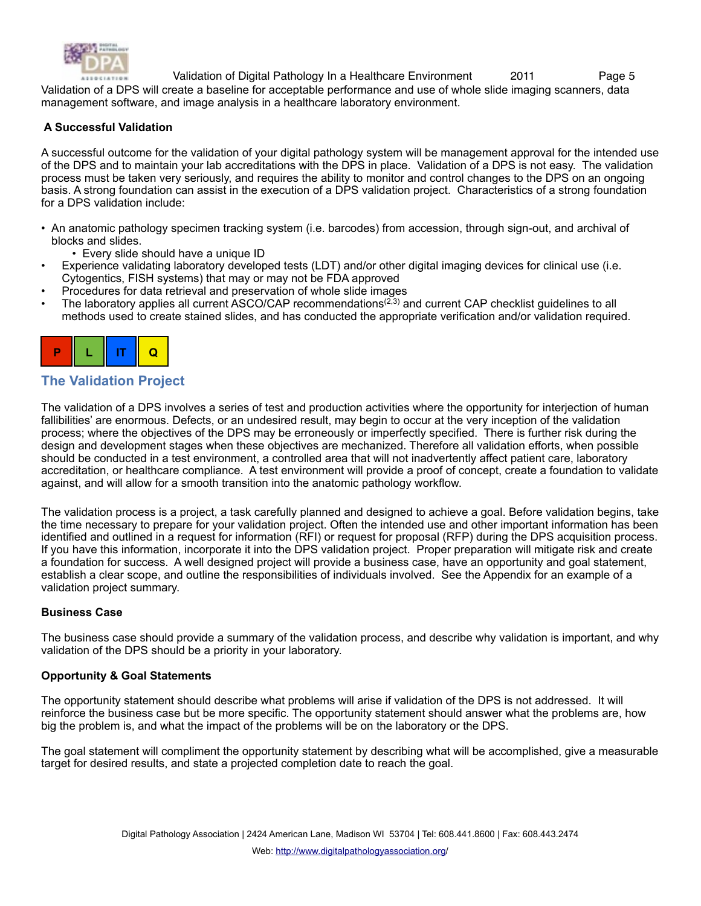

Validation of a DPS will create a baseline for acceptable performance and use of whole slide imaging scanners, data management software, and image analysis in a healthcare laboratory environment.

#### <span id="page-4-0"></span> **A Successful Validation**

A successful outcome for the validation of your digital pathology system will be management approval for the intended use of the DPS and to maintain your lab accreditations with the DPS in place. Validation of a DPS is not easy. The validation process must be taken very seriously, and requires the ability to monitor and control changes to the DPS on an ongoing basis. A strong foundation can assist in the execution of a DPS validation project. Characteristics of a strong foundation for a DPS validation include:

- An anatomic pathology specimen tracking system (i.e. barcodes) from accession, through sign-out, and archival of blocks and slides.
	- Every slide should have a unique ID
- Experience validating laboratory developed tests (LDT) and/or other digital imaging devices for clinical use (i.e. Cytogentics, FISH systems) that may or may not be FDA approved
- Procedures for data retrieval and preservation of whole slide images
- The laboratory applies all current ASCO/CAP recommendations<sup>(2,3)</sup> and current CAP checklist guidelines to all methods used to create stained slides, and has conducted the appropriate verification and/or validation required.



## <span id="page-4-1"></span>**The Validation Project**

The validation of a DPS involves a series of test and production activities where the opportunity for interjection of human fallibilities' are enormous. Defects, or an undesired result, may begin to occur at the very inception of the validation process; where the objectives of the DPS may be erroneously or imperfectly specified. There is further risk during the design and development stages when these objectives are mechanized. Therefore all validation efforts, when possible should be conducted in a test environment, a controlled area that will not inadvertently affect patient care, laboratory accreditation, or healthcare compliance. A test environment will provide a proof of concept, create a foundation to validate against, and will allow for a smooth transition into the anatomic pathology workflow.

The validation process is a project, a task carefully planned and designed to achieve a goal. Before validation begins, take the time necessary to prepare for your validation project. Often the intended use and other important information has been identified and outlined in a request for information (RFI) or request for proposal (RFP) during the DPS acquisition process. If you have this information, incorporate it into the DPS validation project. Proper preparation will mitigate risk and create a foundation for success. A well designed project will provide a business case, have an opportunity and goal statement, establish a clear scope, and outline the responsibilities of individuals involved. See the Appendix for an example of a validation project summary.

#### <span id="page-4-2"></span>**Business Case**

The business case should provide a summary of the validation process, and describe why validation is important, and why validation of the DPS should be a priority in your laboratory.

#### <span id="page-4-3"></span>**Opportunity & Goal Statements**

The opportunity statement should describe what problems will arise if validation of the DPS is not addressed. It will reinforce the business case but be more specific. The opportunity statement should answer what the problems are, how big the problem is, and what the impact of the problems will be on the laboratory or the DPS.

The goal statement will compliment the opportunity statement by describing what will be accomplished, give a measurable target for desired results, and state a projected completion date to reach the goal.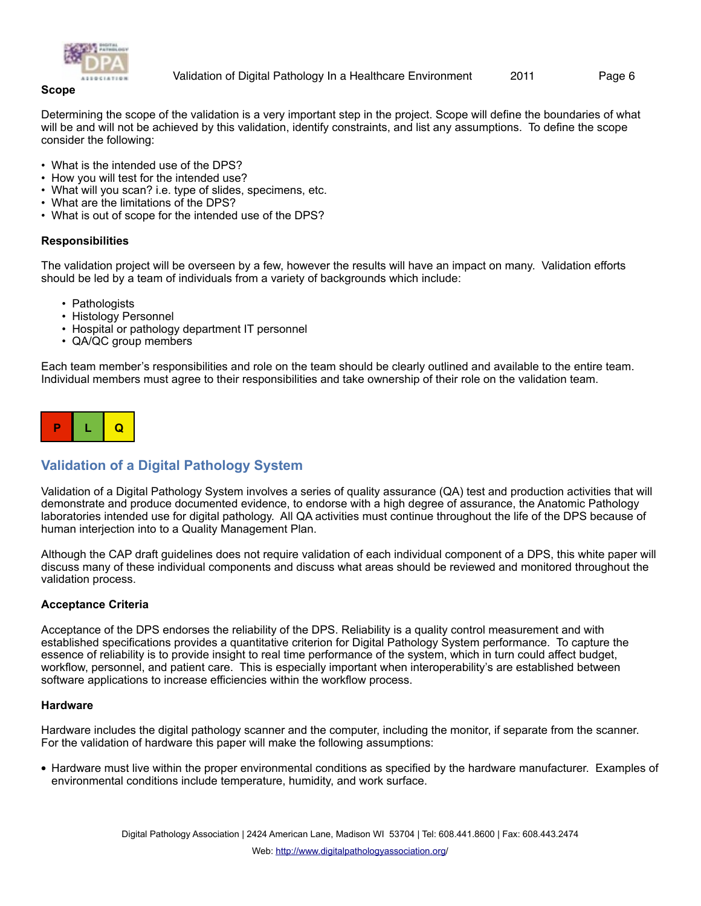

<span id="page-5-0"></span>Determining the scope of the validation is a very important step in the project. Scope will define the boundaries of what will be and will not be achieved by this validation, identify constraints, and list any assumptions. To define the scope consider the following:

- What is the intended use of the DPS?
- How you will test for the intended use?
- What will you scan? i.e. type of slides, specimens, etc.
- What are the limitations of the DPS?
- What is out of scope for the intended use of the DPS?

#### <span id="page-5-1"></span>**Responsibilities**

The validation project will be overseen by a few, however the results will have an impact on many. Validation efforts should be led by a team of individuals from a variety of backgrounds which include:

- Pathologists
- Histology Personnel
- Hospital or pathology department IT personnel
- QA/QC group members

Each team member's responsibilities and role on the team should be clearly outlined and available to the entire team. Individual members must agree to their responsibilities and take ownership of their role on the validation team.



## <span id="page-5-2"></span>**Validation of a Digital Pathology System**

Validation of a Digital Pathology System involves a series of quality assurance (QA) test and production activities that will demonstrate and produce documented evidence, to endorse with a high degree of assurance, the Anatomic Pathology laboratories intended use for digital pathology. All QA activities must continue throughout the life of the DPS because of human interjection into to a Quality Management Plan.

Although the CAP draft guidelines does not require validation of each individual component of a DPS, this white paper will discuss many of these individual components and discuss what areas should be reviewed and monitored throughout the validation process.

#### <span id="page-5-3"></span>**Acceptance Criteria**

Acceptance of the DPS endorses the reliability of the DPS. Reliability is a quality control measurement and with established specifications provides a quantitative criterion for Digital Pathology System performance. To capture the essence of reliability is to provide insight to real time performance of the system, which in turn could affect budget, workflow, personnel, and patient care. This is especially important when interoperability's are established between software applications to increase efficiencies within the workflow process.

#### <span id="page-5-4"></span>**Hardware**

Hardware includes the digital pathology scanner and the computer, including the monitor, if separate from the scanner. For the validation of hardware this paper will make the following assumptions:

**•** Hardware must live within the proper environmental conditions as specified by the hardware manufacturer. Examples of environmental conditions include temperature, humidity, and work surface.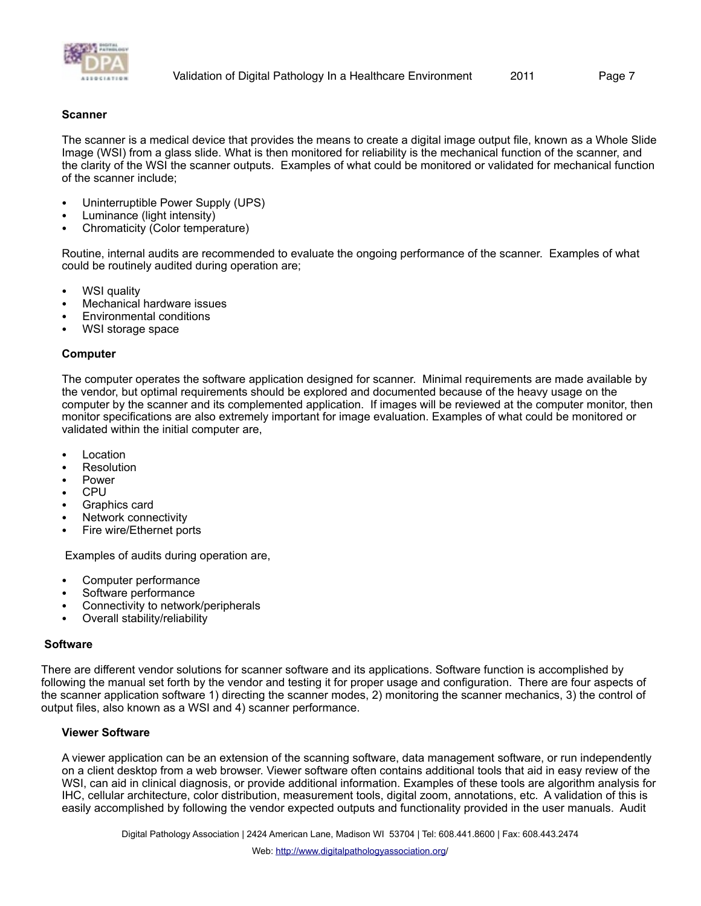

#### **Scanner**

The scanner is a medical device that provides the means to create a digital image output file, known as a Whole Slide Image (WSI) from a glass slide. What is then monitored for reliability is the mechanical function of the scanner, and the clarity of the WSI the scanner outputs. Examples of what could be monitored or validated for mechanical function of the scanner include;

- Uninterruptible Power Supply (UPS)
- Luminance (light intensity)
- Chromaticity (Color temperature)

Routine, internal audits are recommended to evaluate the ongoing performance of the scanner. Examples of what could be routinely audited during operation are;

- WSI quality
- Mechanical hardware issues
- Environmental conditions
- WSI storage space

#### **Computer**

The computer operates the software application designed for scanner. Minimal requirements are made available by the vendor, but optimal requirements should be explored and documented because of the heavy usage on the computer by the scanner and its complemented application. If images will be reviewed at the computer monitor, then monitor specifications are also extremely important for image evaluation. Examples of what could be monitored or validated within the initial computer are,

- **Location**
- **Resolution**
- **Power**
- CPU
- Graphics card
- Network connectivity
- Fire wire/Ethernet ports

Examples of audits during operation are,

- Computer performance
- Software performance
- Connectivity to network/peripherals
- Overall stability/reliability

#### <span id="page-6-0"></span>**Software**

There are different vendor solutions for scanner software and its applications. Software function is accomplished by following the manual set forth by the vendor and testing it for proper usage and configuration. There are four aspects of the scanner application software 1) directing the scanner modes, 2) monitoring the scanner mechanics, 3) the control of output files, also known as a WSI and 4) scanner performance.

#### **Viewer Software**

A viewer application can be an extension of the scanning software, data management software, or run independently on a client desktop from a web browser. Viewer software often contains additional tools that aid in easy review of the WSI, can aid in clinical diagnosis, or provide additional information. Examples of these tools are algorithm analysis for IHC, cellular architecture, color distribution, measurement tools, digital zoom, annotations, etc. A validation of this is easily accomplished by following the vendor expected outputs and functionality provided in the user manuals. Audit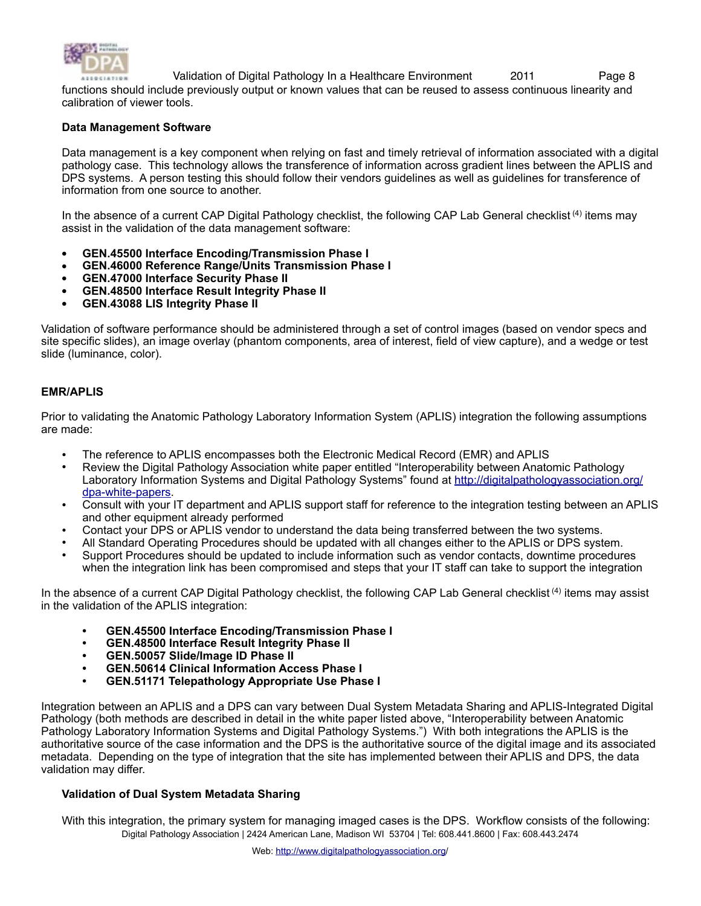

functions should include previously output or known values that can be reused to assess continuous linearity and calibration of viewer tools.

#### **Data Management Software**

Data management is a key component when relying on fast and timely retrieval of information associated with a digital pathology case. This technology allows the transference of information across gradient lines between the APLIS and DPS systems. A person testing this should follow their vendors guidelines as well as guidelines for transference of information from one source to another.

In the absence of a current CAP Digital Pathology checklist, the following CAP Lab General checklist <sup>(4)</sup> items may assist in the validation of the data management software:

- **• GEN.45500 Interface Encoding/Transmission Phase I**
- **• GEN.46000 Reference Range/Units Transmission Phase I**
- **• GEN.47000 Interface Security Phase II**
- **• GEN.48500 Interface Result Integrity Phase II**
- **• GEN.43088 LIS Integrity Phase II**

Validation of software performance should be administered through a set of control images (based on vendor specs and site specific slides), an image overlay (phantom components, area of interest, field of view capture), and a wedge or test slide (luminance, color).

#### <span id="page-7-0"></span>**EMR/APLIS**

Prior to validating the Anatomic Pathology Laboratory Information System (APLIS) integration the following assumptions are made:

- The reference to APLIS encompasses both the Electronic Medical Record (EMR) and APLIS
- Review the Digital Pathology Association white paper entitled "Interoperability between Anatomic Pathology Laboratory Information Systems and Digital Pathology Systems" found at [http://digitalpathologyassociation.org/](http://digitalpathologyassociation.org/dpa-white-papers) [dpa-white-papers](http://digitalpathologyassociation.org/dpa-white-papers).
- Consult with your IT department and APLIS support staff for reference to the integration testing between an APLIS and other equipment already performed
- Contact your DPS or APLIS vendor to understand the data being transferred between the two systems.
- All Standard Operating Procedures should be updated with all changes either to the APLIS or DPS system.
- Support Procedures should be updated to include information such as vendor contacts, downtime procedures when the integration link has been compromised and steps that your IT staff can take to support the integration

In the absence of a current CAP Digital Pathology checklist, the following CAP Lab General checklist<sup>(4)</sup> items may assist in the validation of the APLIS integration:

- **• GEN.45500 Interface Encoding/Transmission Phase I**
- **GEN.48500 Interface Result Integrity Phase II**
- **GEN.50057 Slide/Image ID Phase II**
- **GEN.50614 Clinical Information Access Phase I**
- **GEN.51171 Telepathology Appropriate Use Phase I**

Integration between an APLIS and a DPS can vary between Dual System Metadata Sharing and APLIS-Integrated Digital Pathology (both methods are described in detail in the white paper listed above, "Interoperability between Anatomic Pathology Laboratory Information Systems and Digital Pathology Systems.") With both integrations the APLIS is the authoritative source of the case information and the DPS is the authoritative source of the digital image and its associated metadata. Depending on the type of integration that the site has implemented between their APLIS and DPS, the data validation may differ.

#### **Validation of Dual System Metadata Sharing**

With this integration, the primary system for managing imaged cases is the DPS. Workflow consists of the following: Digital Pathology Association | 2424 American Lane, Madison WI 53704 | Tel: 608.441.8600 | Fax: 608.443.2474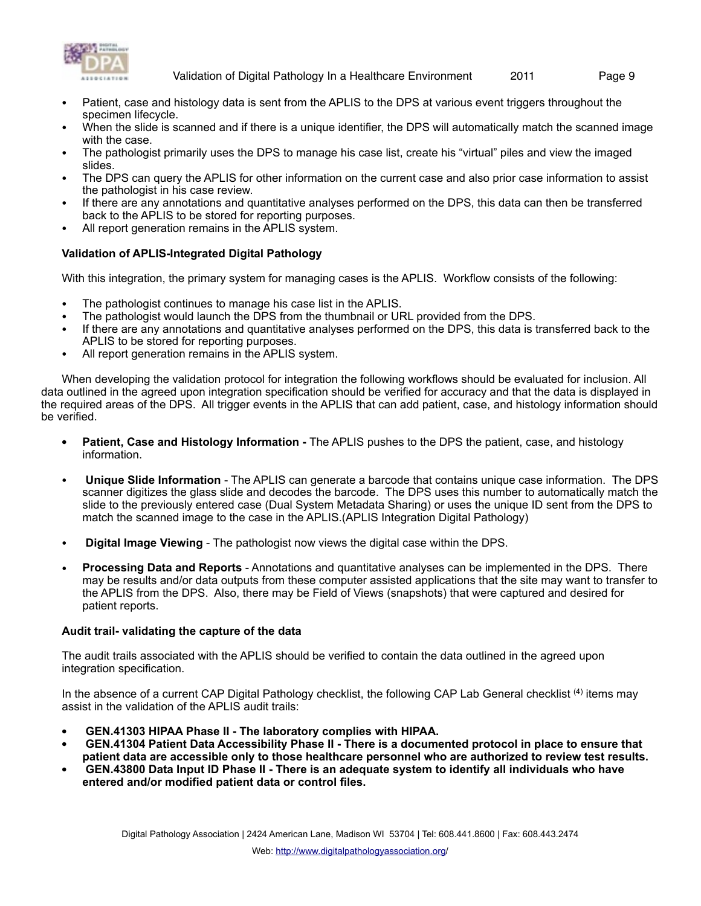

- Patient, case and histology data is sent from the APLIS to the DPS at various event triggers throughout the specimen lifecycle.
- When the slide is scanned and if there is a unique identifier, the DPS will automatically match the scanned image with the case.
- The pathologist primarily uses the DPS to manage his case list, create his "virtual" piles and view the imaged slides.
- The DPS can query the APLIS for other information on the current case and also prior case information to assist the pathologist in his case review.
- If there are any annotations and quantitative analyses performed on the DPS, this data can then be transferred back to the APLIS to be stored for reporting purposes.
- All report generation remains in the APLIS system.

#### **Validation of APLIS-Integrated Digital Pathology**

With this integration, the primary system for managing cases is the APLIS. Workflow consists of the following:

- The pathologist continues to manage his case list in the APLIS.
- The pathologist would launch the DPS from the thumbnail or URL provided from the DPS.
- If there are any annotations and quantitative analyses performed on the DPS, this data is transferred back to the APLIS to be stored for reporting purposes.
- All report generation remains in the APLIS system.

When developing the validation protocol for integration the following workflows should be evaluated for inclusion. All data outlined in the agreed upon integration specification should be verified for accuracy and that the data is displayed in the required areas of the DPS. All trigger events in the APLIS that can add patient, case, and histology information should be verified.

- **• Patient, Case and Histology Information** The APLIS pushes to the DPS the patient, case, and histology information.
- **Unique Slide Information** The APLIS can generate a barcode that contains unique case information. The DPS scanner digitizes the glass slide and decodes the barcode. The DPS uses this number to automatically match the slide to the previously entered case (Dual System Metadata Sharing) or uses the unique ID sent from the DPS to match the scanned image to the case in the APLIS.(APLIS Integration Digital Pathology)
- **Digital Image Viewing** The pathologist now views the digital case within the DPS.
- **Processing Data and Reports** Annotations and quantitative analyses can be implemented in the DPS. There may be results and/or data outputs from these computer assisted applications that the site may want to transfer to the APLIS from the DPS. Also, there may be Field of Views (snapshots) that were captured and desired for patient reports.

#### **Audit trail- validating the capture of the data**

The audit trails associated with the APLIS should be verified to contain the data outlined in the agreed upon integration specification.

In the absence of a current CAP Digital Pathology checklist, the following CAP Lab General checklist <sup>(4)</sup> items may assist in the validation of the APLIS audit trails:

- **GEN.41303 HIPAA Phase II The laboratory complies with HIPAA.**
- **GEN.41304 Patient Data Accessibility Phase II There is a documented protocol in place to ensure that patient data are accessible only to those healthcare personnel who are authorized to review test results.**
- **GEN.43800 Data Input ID Phase II There is an adequate system to identify all individuals who have entered and/or modified patient data or control files.**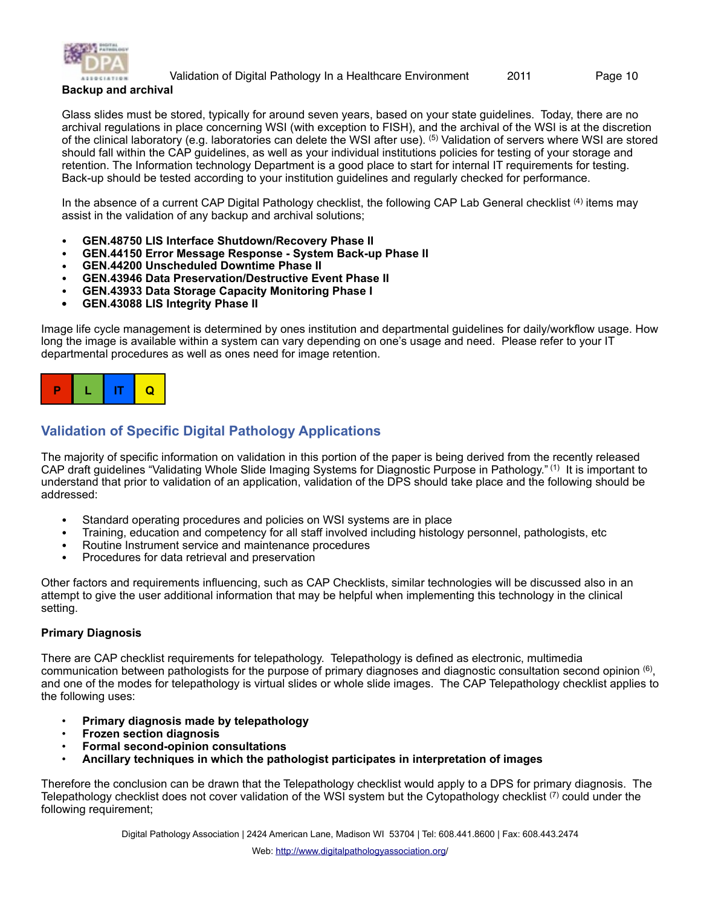

<span id="page-9-0"></span>**Backup and archival**

Glass slides must be stored, typically for around seven years, based on your state guidelines. Today, there are no archival regulations in place concerning WSI (with exception to FISH), and the archival of the WSI is at the discretion of the clinical laboratory (e.g. laboratories can delete the WSI after use). (5) Validation of servers where WSI are stored should fall within the CAP guidelines, as well as your individual institutions policies for testing of your storage and retention. The Information technology Department is a good place to start for internal IT requirements for testing. Back-up should be tested according to your institution guidelines and regularly checked for performance.

In the absence of a current CAP Digital Pathology checklist, the following CAP Lab General checklist <sup>(4)</sup> items may assist in the validation of any backup and archival solutions;

- **GEN.48750 LIS Interface Shutdown/Recovery Phase II**
- **GEN.44150 Error Message Response System Back-up Phase II**
- **GEN.44200 Unscheduled Downtime Phase II**
- **GEN.43946 Data Preservation/Destructive Event Phase II**
- **GEN.43933 Data Storage Capacity Monitoring Phase I**
- **• GEN.43088 LIS Integrity Phase II**

Image life cycle management is determined by ones institution and departmental guidelines for daily/workflow usage. How long the image is available within a system can vary depending on one's usage and need. Please refer to your IT departmental procedures as well as ones need for image retention.



## <span id="page-9-1"></span>**Validation of Specific Digital Pathology Applications**

The majority of specific information on validation in this portion of the paper is being derived from the recently released CAP draft guidelines "Validating Whole Slide Imaging Systems for Diagnostic Purpose in Pathology." (1) It is important to understand that prior to validation of an application, validation of the DPS should take place and the following should be addressed:

- Standard operating procedures and policies on WSI systems are in place
- Training, education and competency for all staff involved including histology personnel, pathologists, etc
- Routine Instrument service and maintenance procedures<br>• Procedures for data retrieval and preservation
- Procedures for data retrieval and preservation

Other factors and requirements influencing, such as CAP Checklists, similar technologies will be discussed also in an attempt to give the user additional information that may be helpful when implementing this technology in the clinical setting.

#### <span id="page-9-2"></span>**Primary Diagnosis**

There are CAP checklist requirements for telepathology. Telepathology is defined as electronic, multimedia communication between pathologists for the purpose of primary diagnoses and diagnostic consultation second opinion (6), and one of the modes for telepathology is virtual slides or whole slide images. The CAP Telepathology checklist applies to the following uses:

- **Primary diagnosis made by telepathology**
- **Frozen section diagnosis**
- **Formal second-opinion consultations**
- **Ancillary techniques in which the pathologist participates in interpretation of images**

Therefore the conclusion can be drawn that the Telepathology checklist would apply to a DPS for primary diagnosis. The Telepathology checklist does not cover validation of the WSI system but the Cytopathology checklist (7) could under the following requirement;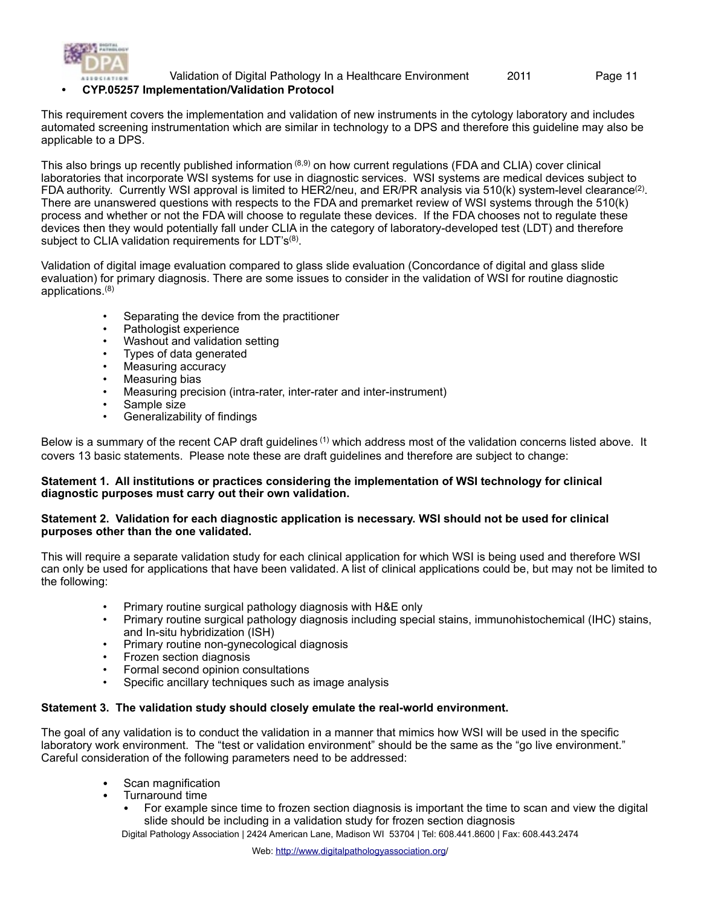

#### **• CYP.05257 Implementation/Validation Protocol**

This requirement covers the implementation and validation of new instruments in the cytology laboratory and includes automated screening instrumentation which are similar in technology to a DPS and therefore this guideline may also be applicable to a DPS.

This also brings up recently published information (8,9) on how current regulations (FDA and CLIA) cover clinical laboratories that incorporate WSI systems for use in diagnostic services. WSI systems are medical devices subject to FDA authority. Currently WSI approval is limited to HER2/neu, and ER/PR analysis via 510(k) system-level clearance(2). There are unanswered questions with respects to the FDA and premarket review of WSI systems through the 510(k) process and whether or not the FDA will choose to regulate these devices. If the FDA chooses not to regulate these devices then they would potentially fall under CLIA in the category of laboratory-developed test (LDT) and therefore subject to CLIA validation requirements for LDT's<sup>(8)</sup>.

Validation of digital image evaluation compared to glass slide evaluation (Concordance of digital and glass slide evaluation) for primary diagnosis. There are some issues to consider in the validation of WSI for routine diagnostic applications.(8)

- Separating the device from the practitioner
- Pathologist experience
- Washout and validation setting
- Types of data generated
- Measuring accuracy
- Measuring bias
- Measuring precision (intra-rater, inter-rater and inter-instrument)
- Sample size
- Generalizability of findings

Below is a summary of the recent CAP draft guidelines <sup>(1)</sup> which address most of the validation concerns listed above. It covers 13 basic statements. Please note these are draft guidelines and therefore are subject to change:

#### **Statement 1. All institutions or practices considering the implementation of WSI technology for clinical diagnostic purposes must carry out their own validation.**

#### **Statement 2. Validation for each diagnostic application is necessary. WSI should not be used for clinical purposes other than the one validated.**

This will require a separate validation study for each clinical application for which WSI is being used and therefore WSI can only be used for applications that have been validated. A list of clinical applications could be, but may not be limited to the following:

- Primary routine surgical pathology diagnosis with H&E only
- Primary routine surgical pathology diagnosis including special stains, immunohistochemical (IHC) stains, and In-situ hybridization (ISH)
- Primary routine non-gynecological diagnosis
- Frozen section diagnosis
- Formal second opinion consultations
- Specific ancillary techniques such as image analysis

#### **Statement 3. The validation study should closely emulate the real-world environment.**

The goal of any validation is to conduct the validation in a manner that mimics how WSI will be used in the specific laboratory work environment. The "test or validation environment" should be the same as the "go live environment." Careful consideration of the following parameters need to be addressed:

- Scan magnification
- Turnaround time
	- For example since time to frozen section diagnosis is important the time to scan and view the digital slide should be including in a validation study for frozen section diagnosis

Digital Pathology Association | 2424 American Lane, Madison WI 53704 | Tel: 608.441.8600 | Fax: 608.443.2474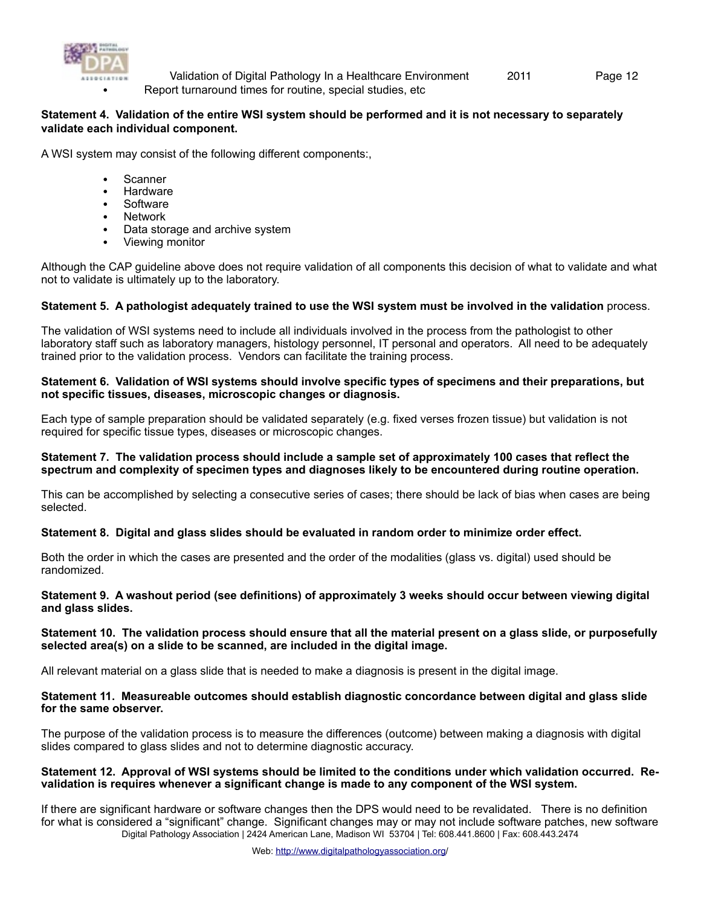

• Report turnaround times for routine, special studies, etc Validation of Digital Pathology In a Healthcare Environment 2011 Page 12

#### **Statement 4. Validation of the entire WSI system should be performed and it is not necessary to separately validate each individual component.**

A WSI system may consist of the following different components:,

- Scanner
- Hardware
- Software
- **Network**
- Data storage and archive system
- Viewing monitor

Although the CAP guideline above does not require validation of all components this decision of what to validate and what not to validate is ultimately up to the laboratory.

#### **Statement 5. A pathologist adequately trained to use the WSI system must be involved in the validation** process.

The validation of WSI systems need to include all individuals involved in the process from the pathologist to other laboratory staff such as laboratory managers, histology personnel, IT personal and operators. All need to be adequately trained prior to the validation process. Vendors can facilitate the training process.

#### **Statement 6. Validation of WSI systems should involve specific types of specimens and their preparations, but not specific tissues, diseases, microscopic changes or diagnosis.**

Each type of sample preparation should be validated separately (e.g. fixed verses frozen tissue) but validation is not required for specific tissue types, diseases or microscopic changes.

#### **Statement 7. The validation process should include a sample set of approximately 100 cases that reflect the spectrum and complexity of specimen types and diagnoses likely to be encountered during routine operation.**

This can be accomplished by selecting a consecutive series of cases; there should be lack of bias when cases are being selected.

#### **Statement 8. Digital and glass slides should be evaluated in random order to minimize order effect.**

Both the order in which the cases are presented and the order of the modalities (glass vs. digital) used should be randomized.

#### **Statement 9. A washout period (see definitions) of approximately 3 weeks should occur between viewing digital and glass slides.**

#### **Statement 10. The validation process should ensure that all the material present on a glass slide, or purposefully selected area(s) on a slide to be scanned, are included in the digital image.**

All relevant material on a glass slide that is needed to make a diagnosis is present in the digital image.

#### **Statement 11. Measureable outcomes should establish diagnostic concordance between digital and glass slide for the same observer.**

The purpose of the validation process is to measure the differences (outcome) between making a diagnosis with digital slides compared to glass slides and not to determine diagnostic accuracy.

#### **Statement 12. Approval of WSI systems should be limited to the conditions under which validation occurred. Revalidation is requires whenever a significant change is made to any component of the WSI system.**

If there are significant hardware or software changes then the DPS would need to be revalidated. There is no definition for what is considered a "significant" change. Significant changes may or may not include software patches, new software Digital Pathology Association | 2424 American Lane, Madison WI 53704 | Tel: 608.441.8600 | Fax: 608.443.2474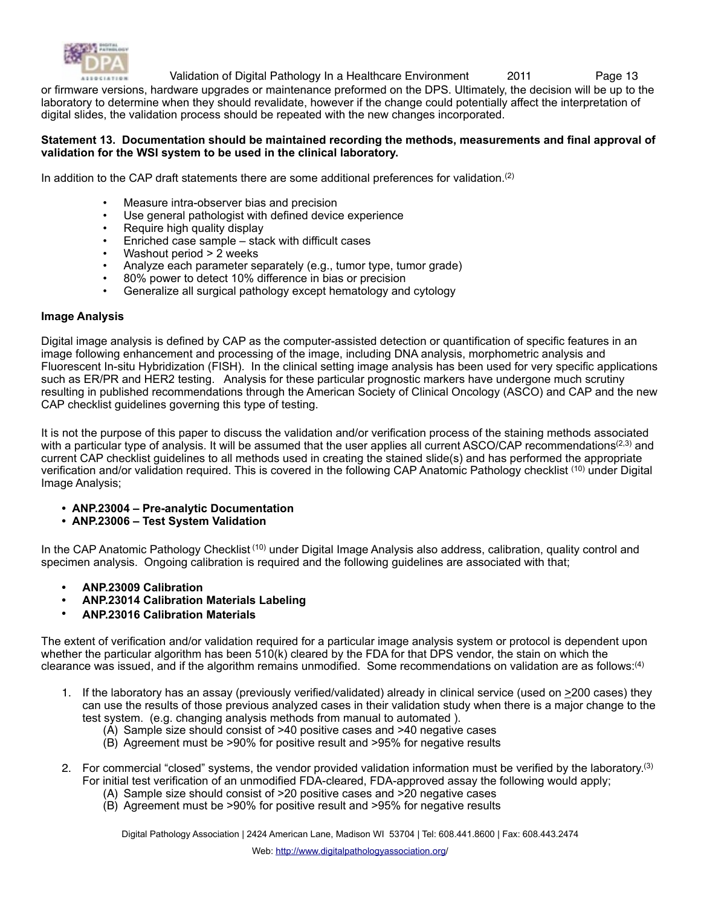

or firmware versions, hardware upgrades or maintenance preformed on the DPS. Ultimately, the decision will be up to the laboratory to determine when they should revalidate, however if the change could potentially affect the interpretation of digital slides, the validation process should be repeated with the new changes incorporated.

#### **Statement 13. Documentation should be maintained recording the methods, measurements and final approval of validation for the WSI system to be used in the clinical laboratory.**

In addition to the CAP draft statements there are some additional preferences for validation. $(2)$ 

- Measure intra-observer bias and precision
- Use general pathologist with defined device experience
- Require high quality display
- Enriched case sample stack with difficult cases
- Washout period > 2 weeks
- Analyze each parameter separately (e.g., tumor type, tumor grade)
- 80% power to detect 10% difference in bias or precision
- Generalize all surgical pathology except hematology and cytology

#### <span id="page-12-0"></span>**Image Analysis**

Digital image analysis is defined by CAP as the computer-assisted detection or quantification of specific features in an image following enhancement and processing of the image, including DNA analysis, morphometric analysis and Fluorescent In-situ Hybridization (FISH). In the clinical setting image analysis has been used for very specific applications such as ER/PR and HER2 testing. Analysis for these particular prognostic markers have undergone much scrutiny resulting in published recommendations through the American Society of Clinical Oncology (ASCO) and CAP and the new CAP checklist guidelines governing this type of testing.

It is not the purpose of this paper to discuss the validation and/or verification process of the staining methods associated with a particular type of analysis. It will be assumed that the user applies all current ASCO/CAP recommendations $(2,3)$  and current CAP checklist guidelines to all methods used in creating the stained slide(s) and has performed the appropriate verification and/or validation required. This is covered in the following CAP Anatomic Pathology checklist (10) under Digital Image Analysis;

- **• ANP.23004 Pre-analytic Documentation**
- **• ANP.23006 Test System Validation**

In the CAP Anatomic Pathology Checklist<sup>(10)</sup> under Digital Image Analysis also address, calibration, quality control and specimen analysis. Ongoing calibration is required and the following guidelines are associated with that;

- **• ANP.23009 Calibration**
- **• ANP.23014 Calibration Materials Labeling**
- **• ANP.23016 Calibration Materials**

The extent of verification and/or validation required for a particular image analysis system or protocol is dependent upon whether the particular algorithm has been 510(k) cleared by the FDA for that DPS vendor, the stain on which the clearance was issued, and if the algorithm remains unmodified. Some recommendations on validation are as follows:<sup>(4)</sup>

- 1. If the laboratory has an assay (previously verified/validated) already in clinical service (used on  $\geq$ 200 cases) they can use the results of those previous analyzed cases in their validation study when there is a major change to the test system. (e.g. changing analysis methods from manual to automated ).
	- (A) Sample size should consist of >40 positive cases and >40 negative cases
	- (B) Agreement must be >90% for positive result and >95% for negative results
- 2. For commercial "closed" systems, the vendor provided validation information must be verified by the laboratory.<sup>(3)</sup> For initial test verification of an unmodified FDA-cleared, FDA-approved assay the following would apply;
	- (A) Sample size should consist of >20 positive cases and >20 negative cases
	- (B) Agreement must be >90% for positive result and >95% for negative results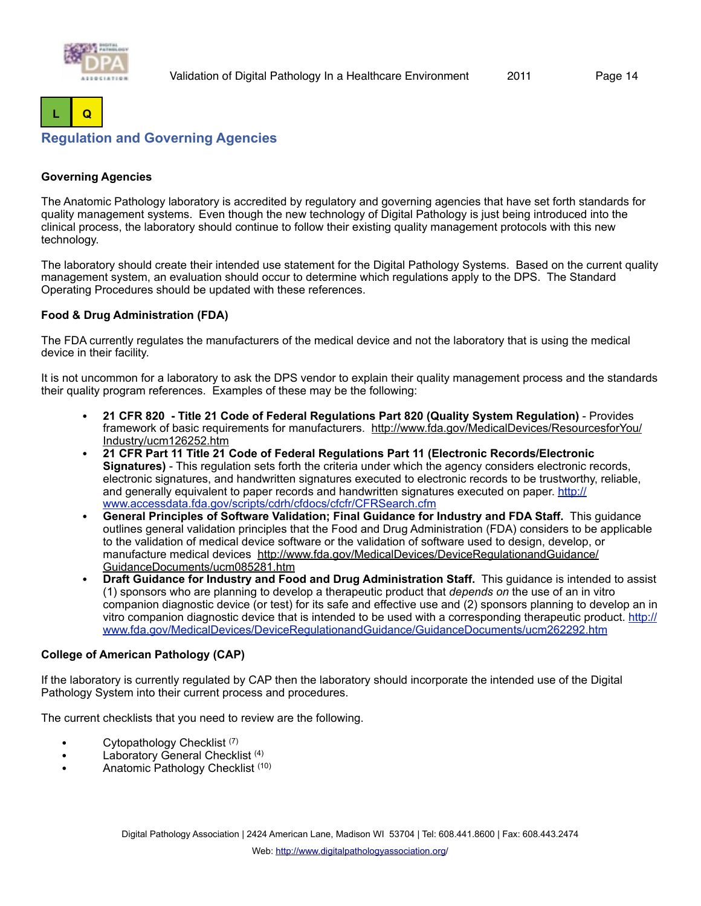



## <span id="page-13-0"></span>**Regulation and Governing Agencies**

#### <span id="page-13-1"></span>**Governing Agencies**

The Anatomic Pathology laboratory is accredited by regulatory and governing agencies that have set forth standards for quality management systems. Even though the new technology of Digital Pathology is just being introduced into the clinical process, the laboratory should continue to follow their existing quality management protocols with this new technology.

The laboratory should create their intended use statement for the Digital Pathology Systems. Based on the current quality management system, an evaluation should occur to determine which regulations apply to the DPS. The Standard Operating Procedures should be updated with these references.

#### **Food & Drug Administration (FDA)**

The FDA currently regulates the manufacturers of the medical device and not the laboratory that is using the medical device in their facility.

It is not uncommon for a laboratory to ask the DPS vendor to explain their quality management process and the standards their quality program references. Examples of these may be the following:

- **21 CFR 820 Title 21 Code of Federal Regulations Part 820 (Quality System Regulation)** Provides framework of basic requirements for manufacturers. [http://www.fda.gov/MedicalDevices/ResourcesforYou/](http://www.fda.gov/MedicalDevices/ResourcesforYou/Industry/ucm126252.htm) [Industry/ucm126252.htm](http://www.fda.gov/MedicalDevices/ResourcesforYou/Industry/ucm126252.htm)
- **21 CFR Part 11 Title 21 Code of Federal Regulations Part 11 (Electronic Records/Electronic Signatures)** - This regulation sets forth the criteria under which the agency considers electronic records, electronic signatures, and handwritten signatures executed to electronic records to be trustworthy, reliable, and generally equivalent to paper records and handwritten signatures executed on paper. [http://](http://www.accessdata.fda.gov/scripts/cdrh/cfdocs/cfcfr/CFRSearch.cfm) [www.accessdata.fda.gov/scripts/cdrh/cfdocs/cfcfr/CFRSearch.cfm](http://www.accessdata.fda.gov/scripts/cdrh/cfdocs/cfcfr/CFRSearch.cfm)
- **General Principles of Software Validation; Final Guidance for Industry and FDA Staff.** This guidance outlines general validation principles that the Food and Drug Administration (FDA) considers to be applicable to the validation of medical device software or the validation of software used to design, develop, or manufacture medical devices [http://www.fda.gov/MedicalDevices/DeviceRegulationandGuidance/](http://www.fda.gov/MedicalDevices/DeviceRegulationandGuidance/GuidanceDocuments/ucm085281.htm) [GuidanceDocuments/ucm085281.htm](http://www.fda.gov/MedicalDevices/DeviceRegulationandGuidance/GuidanceDocuments/ucm085281.htm)
- **Draft Guidance for Industry and Food and Drug Administration Staff.** This guidance is intended to assist (1) sponsors who are planning to develop a therapeutic product that *depends on* the use of an in vitro companion diagnostic device (or test) for its safe and effective use and (2) sponsors planning to develop an in vitro companion diagnostic device that is intended to be used with a corresponding therapeutic product. [http://](http://www.fda.gov/MedicalDevices/DeviceRegulationandGuidance/GuidanceDocuments/ucm262292.htm) [www.fda.gov/MedicalDevices/DeviceRegulationandGuidance/GuidanceDocuments/ucm262292.htm](http://www.fda.gov/MedicalDevices/DeviceRegulationandGuidance/GuidanceDocuments/ucm262292.htm)

#### **College of American Pathology (CAP)**

If the laboratory is currently regulated by CAP then the laboratory should incorporate the intended use of the Digital Pathology System into their current process and procedures.

The current checklists that you need to review are the following.

- Cytopathology Checklist<sup>(7)</sup>
- Laboratory General Checklist<sup>(4)</sup>
- Anatomic Pathology Checklist<sup>(10)</sup>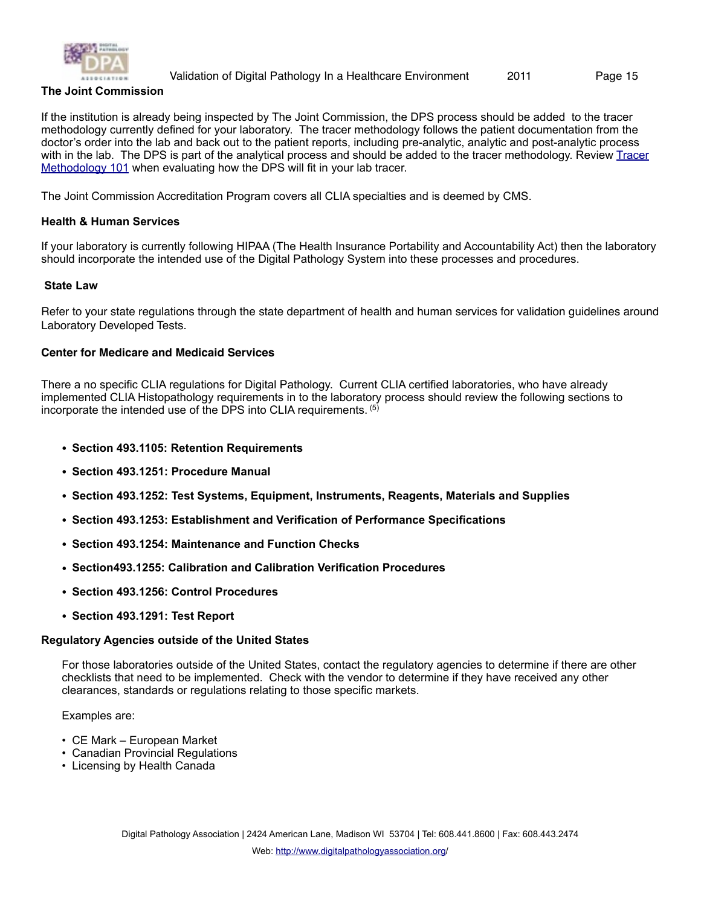

#### **The Joint Commission**

If the institution is already being inspected by The Joint Commission, the DPS process should be added to the tracer methodology currently defined for your laboratory. The tracer methodology follows the patient documentation from the doctor's order into the lab and back out to the patient reports, including pre-analytic, analytic and post-analytic process with in the lab. The DPS is part of the analytical process and should be added to the tracer methodology. Review Tracer [Methodology 101](http://www.jointcommission.org/assets/1/18/the%20Laboratory%20Tracer-September%202010-The%20Source.pdf) when evaluating how the DPS will fit in your lab tracer.

The Joint Commission Accreditation Program covers all CLIA specialties and is deemed by CMS.

#### **Health & Human Services**

If your laboratory is currently following HIPAA (The Health Insurance Portability and Accountability Act) then the laboratory should incorporate the intended use of the Digital Pathology System into these processes and procedures.

#### <span id="page-14-0"></span>**State Law**

Refer to your state regulations through the state department of health and human services for validation guidelines around Laboratory Developed Tests.

#### **Center for Medicare and Medicaid Services**

There a no specific CLIA regulations for Digital Pathology. Current CLIA certified laboratories, who have already implemented CLIA Histopathology requirements in to the laboratory process should review the following sections to incorporate the intended use of the DPS into CLIA requirements. (5)

- **Section 493.1105: Retention Requirements**
- **Section 493.1251: Procedure Manual**
- **Section 493.1252: Test Systems, Equipment, Instruments, Reagents, Materials and Supplies**
- **Section 493.1253: Establishment and Verification of Performance Specifications**
- **Section 493.1254: Maintenance and Function Checks**
- **Section493.1255: Calibration and Calibration Verification Procedures**
- **Section 493.1256: Control Procedures**
- **Section 493.1291: Test Report**

#### <span id="page-14-1"></span>**Regulatory Agencies outside of the United States**

For those laboratories outside of the United States, contact the regulatory agencies to determine if there are other checklists that need to be implemented. Check with the vendor to determine if they have received any other clearances, standards or regulations relating to those specific markets.

Examples are:

- CE Mark European Market
- Canadian Provincial Regulations
- Licensing by Health Canada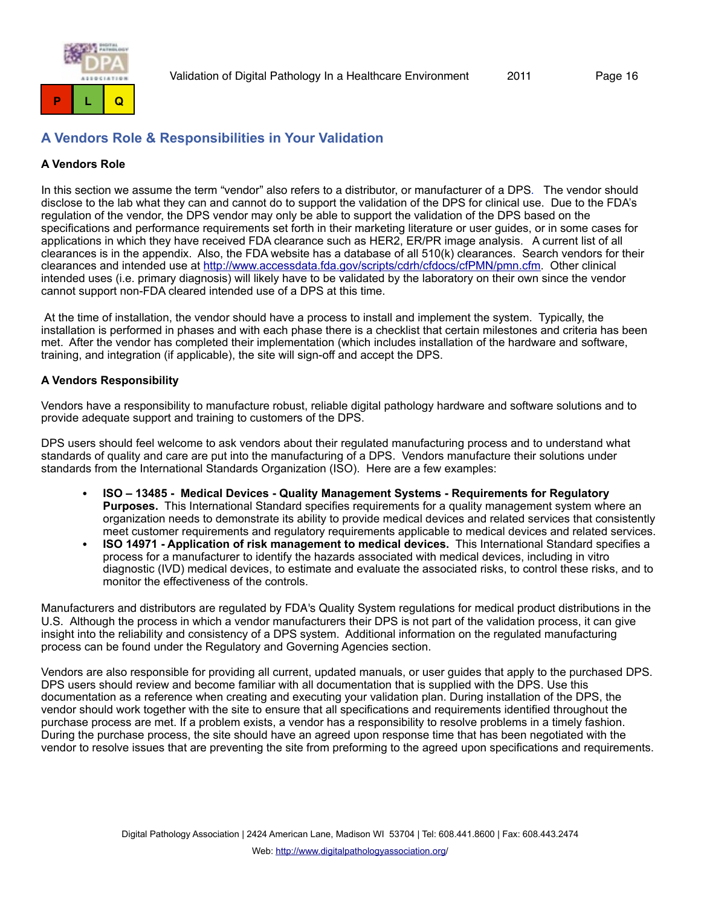

## <span id="page-15-0"></span>**A Vendors Role & Responsibilities in Your Validation**

#### <span id="page-15-1"></span>**A Vendors Role**

In this section we assume the term "vendor" also refers to a distributor, or manufacturer of a DPS. The vendor should disclose to the lab what they can and cannot do to support the validation of the DPS for clinical use. Due to the FDA's regulation of the vendor, the DPS vendor may only be able to support the validation of the DPS based on the specifications and performance requirements set forth in their marketing literature or user guides, or in some cases for applications in which they have received FDA clearance such as HER2, ER/PR image analysis. A current list of all clearances is in the appendix. Also, the FDA website has a database of all 510(k) clearances. Search vendors for their clearances and intended use at <http://www.accessdata.fda.gov/scripts/cdrh/cfdocs/cfPMN/pmn.cfm>. Other clinical intended uses (i.e. primary diagnosis) will likely have to be validated by the laboratory on their own since the vendor cannot support non-FDA cleared intended use of a DPS at this time.

At the time of installation, the vendor should have a process to install and implement the system. Typically, the installation is performed in phases and with each phase there is a checklist that certain milestones and criteria has been met. After the vendor has completed their implementation (which includes installation of the hardware and software, training, and integration (if applicable), the site will sign-off and accept the DPS.

#### <span id="page-15-2"></span>**A Vendors Responsibility**

Vendors have a responsibility to manufacture robust, reliable digital pathology hardware and software solutions and to provide adequate support and training to customers of the DPS.

DPS users should feel welcome to ask vendors about their regulated manufacturing process and to understand what standards of quality and care are put into the manufacturing of a DPS. Vendors manufacture their solutions under standards from the International Standards Organization (ISO). Here are a few examples:

- **ISO 13485 Medical Devices Quality Management Systems Requirements for Regulatory Purposes.** This International Standard specifies requirements for a quality management system where an organization needs to demonstrate its ability to provide medical devices and related services that consistently meet customer requirements and regulatory requirements applicable to medical devices and related services.
- **ISO 14971 Application of risk management to medical devices.** This International Standard specifies a process for a manufacturer to identify the hazards associated with medical devices, including in vitro diagnostic (IVD) medical devices, to estimate and evaluate the associated risks, to control these risks, and to monitor the effectiveness of the controls.

Manufacturers and distributors are regulated by FDA's Quality System regulations for medical product distributions in the U.S. Although the process in which a vendor manufacturers their DPS is not part of the validation process, it can give insight into the reliability and consistency of a DPS system. Additional information on the regulated manufacturing process can be found under the Regulatory and Governing Agencies section.

Vendors are also responsible for providing all current, updated manuals, or user guides that apply to the purchased DPS. DPS users should review and become familiar with all documentation that is supplied with the DPS. Use this documentation as a reference when creating and executing your validation plan. During installation of the DPS, the vendor should work together with the site to ensure that all specifications and requirements identified throughout the purchase process are met. If a problem exists, a vendor has a responsibility to resolve problems in a timely fashion. During the purchase process, the site should have an agreed upon response time that has been negotiated with the vendor to resolve issues that are preventing the site from preforming to the agreed upon specifications and requirements.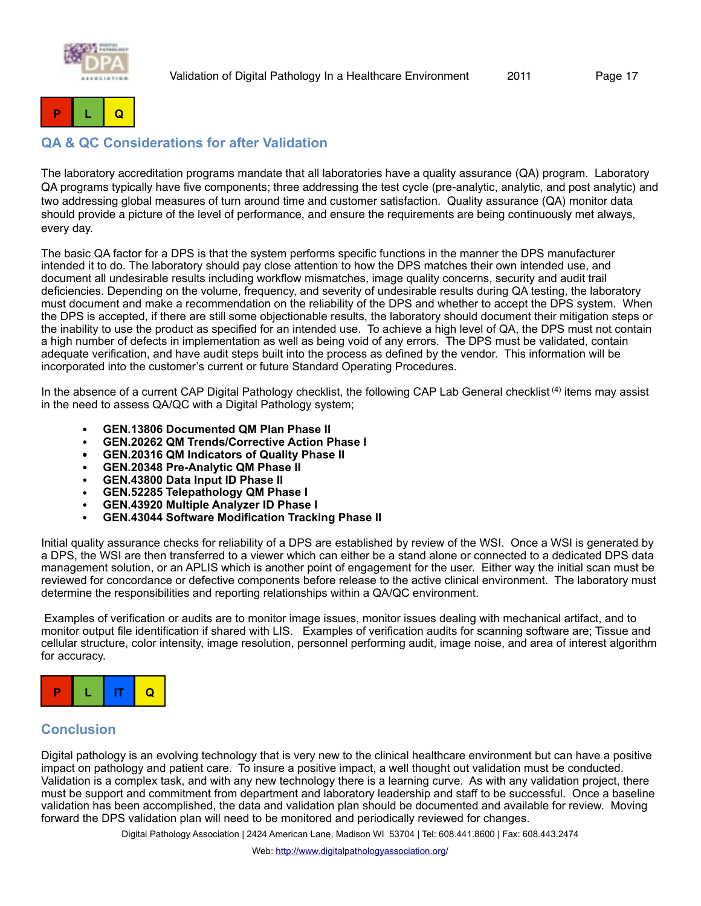



## <span id="page-16-0"></span>**QA & QC Considerations for after Validation**

The laboratory accreditation programs mandate that all laboratories have a quality assurance (QA) program. Laboratory QA programs typically have five components; three addressing the test cycle (pre-analytic, analytic, and post analytic) and two addressing global measures of turn around time and customer satisfaction. Quality assurance (QA) monitor data should provide a picture of the level of performance, and ensure the requirements are being continuously met always, every day.

The basic QA factor for a DPS is that the system performs specific functions in the manner the DPS manufacturer intended it to do. The laboratory should pay close attention to how the DPS matches their own intended use, and document all undesirable results including workflow mismatches, image quality concerns, security and audit trail deficiencies. Depending on the volume, frequency, and severity of undesirable results during QA testing, the laboratory must document and make a recommendation on the reliability of the DPS and whether to accept the DPS system. When the DPS is accepted, if there are still some objectionable results, the laboratory should document their mitigation steps or the inability to use the product as specified for an intended use. To achieve a high level of QA, the DPS must not contain a high number of defects in implementation as well as being void of any errors. The DPS must be validated, contain adequate verification, and have audit steps built into the process as defined by the vendor. This information will be incorporated into the customer's current or future Standard Operating Procedures.

In the absence of a current CAP Digital Pathology checklist, the following CAP Lab General checklist<sup>(4)</sup> items may assist in the need to assess QA/QC with a Digital Pathology system;

- **GEN.13806 Documented QM Plan Phase II**
- **GEN.20262 QM Trends/Corrective Action Phase I**
- **• GEN.20316 QM Indicators of Quality Phase II**
- **GEN.20348 Pre-Analytic QM Phase II**
- **GEN.43800 Data Input ID Phase II**
- **GEN.52285 Telepathology QM Phase I**
- **GEN.43920 Multiple Analyzer ID Phase I**
- **GEN.43044 Software Modification Tracking Phase II**

Initial quality assurance checks for reliability of a DPS are established by review of the WSI. Once a WSI is generated by a DPS, the WSI are then transferred to a viewer which can either be a stand alone or connected to a dedicated DPS data management solution, or an APLIS which is another point of engagement for the user. Either way the initial scan must be reviewed for concordance or defective components before release to the active clinical environment. The laboratory must determine the responsibilities and reporting relationships within a QA/QC environment.

 Examples of verification or audits are to monitor image issues, monitor issues dealing with mechanical artifact, and to monitor output file identification if shared with LIS. Examples of verification audits for scanning software are; Tissue and cellular structure, color intensity, image resolution, personnel performing audit, image noise, and area of interest algorithm for accuracy.



## <span id="page-16-1"></span>**Conclusion**

Digital pathology is an evolving technology that is very new to the clinical healthcare environment but can have a positive impact on pathology and patient care. To insure a positive impact, a well thought out validation must be conducted. Validation is a complex task, and with any new technology there is a learning curve. As with any validation project, there must be support and commitment from department and laboratory leadership and staff to be successful. Once a baseline validation has been accomplished, the data and validation plan should be documented and available for review. Moving forward the DPS validation plan will need to be monitored and periodically reviewed for changes.

Digital Pathology Association | 2424 American Lane, Madison WI 53704 | Tel: 608.441.8600 | Fax: 608.443.2474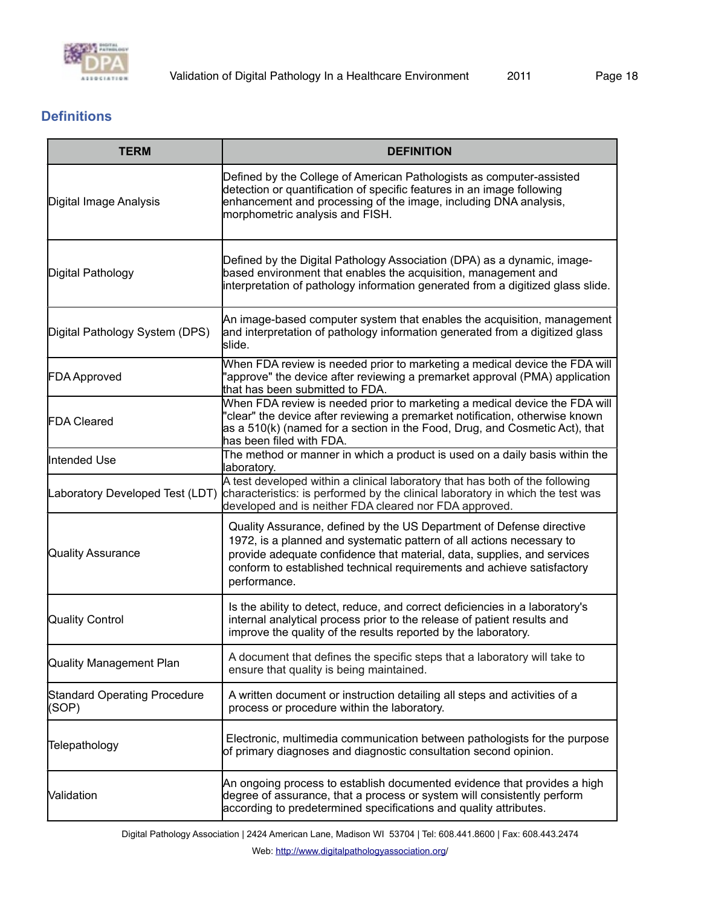

## <span id="page-17-0"></span>**Definitions**

| <b>TERM</b>                                  | <b>DEFINITION</b>                                                                                                                                                                                                                                                                                                  |  |  |
|----------------------------------------------|--------------------------------------------------------------------------------------------------------------------------------------------------------------------------------------------------------------------------------------------------------------------------------------------------------------------|--|--|
| Digital Image Analysis                       | Defined by the College of American Pathologists as computer-assisted<br>detection or quantification of specific features in an image following<br>enhancement and processing of the image, including DNA analysis,<br>morphometric analysis and FISH.                                                              |  |  |
| Digital Pathology                            | Defined by the Digital Pathology Association (DPA) as a dynamic, image-<br>based environment that enables the acquisition, management and<br>interpretation of pathology information generated from a digitized glass slide.                                                                                       |  |  |
| Digital Pathology System (DPS)               | An image-based computer system that enables the acquisition, management<br>and interpretation of pathology information generated from a digitized glass<br>slide.                                                                                                                                                  |  |  |
| <b>FDA Approved</b>                          | When FDA review is needed prior to marketing a medical device the FDA will<br>"approve" the device after reviewing a premarket approval (PMA) application<br>that has been submitted to FDA.                                                                                                                       |  |  |
| <b>FDA Cleared</b>                           | When FDA review is needed prior to marketing a medical device the FDA will<br>'clear" the device after reviewing a premarket notification, otherwise known<br>as a 510(k) (named for a section in the Food, Drug, and Cosmetic Act), that<br>has been filed with FDA.                                              |  |  |
| Intended Use                                 | The method or manner in which a product is used on a daily basis within the<br>laboratory.                                                                                                                                                                                                                         |  |  |
| Laboratory Developed Test (LDT)              | A test developed within a clinical laboratory that has both of the following<br>characteristics: is performed by the clinical laboratory in which the test was<br>developed and is neither FDA cleared nor FDA approved.                                                                                           |  |  |
| Quality Assurance                            | Quality Assurance, defined by the US Department of Defense directive<br>1972, is a planned and systematic pattern of all actions necessary to<br>provide adequate confidence that material, data, supplies, and services<br>conform to established technical requirements and achieve satisfactory<br>performance. |  |  |
| <b>Quality Control</b>                       | Is the ability to detect, reduce, and correct deficiencies in a laboratory's<br>internal analytical process prior to the release of patient results and<br>improve the quality of the results reported by the laboratory.                                                                                          |  |  |
| Quality Management Plan                      | A document that defines the specific steps that a laboratory will take to<br>ensure that quality is being maintained.                                                                                                                                                                                              |  |  |
| <b>Standard Operating Procedure</b><br>(SOP) | A written document or instruction detailing all steps and activities of a<br>process or procedure within the laboratory.                                                                                                                                                                                           |  |  |
| Telepathology                                | Electronic, multimedia communication between pathologists for the purpose<br>of primary diagnoses and diagnostic consultation second opinion.                                                                                                                                                                      |  |  |
| Validation                                   | An ongoing process to establish documented evidence that provides a high<br>degree of assurance, that a process or system will consistently perform<br>according to predetermined specifications and quality attributes.                                                                                           |  |  |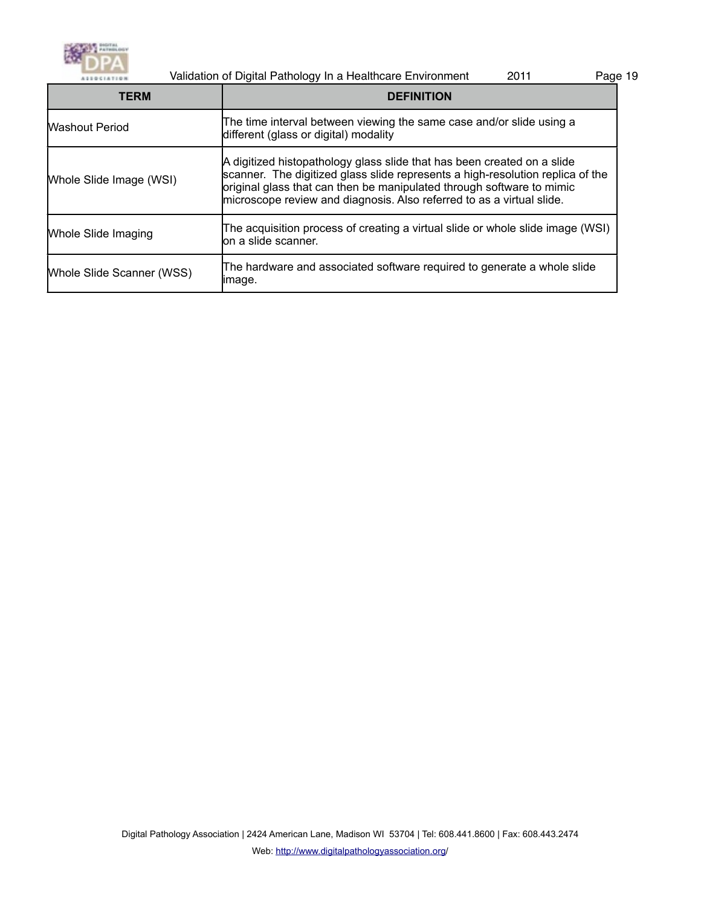

|                           | Validation of Digital Pathology In a Healthcare Environment<br>2011                                                                                                                                                                                                                                         | Page 19 |
|---------------------------|-------------------------------------------------------------------------------------------------------------------------------------------------------------------------------------------------------------------------------------------------------------------------------------------------------------|---------|
| <b>TERM</b>               | <b>DEFINITION</b>                                                                                                                                                                                                                                                                                           |         |
| <b>Washout Period</b>     | The time interval between viewing the same case and/or slide using a<br>different (glass or digital) modality                                                                                                                                                                                               |         |
| Whole Slide Image (WSI)   | A digitized histopathology glass slide that has been created on a slide<br>scanner. The digitized glass slide represents a high-resolution replica of the<br>original glass that can then be manipulated through software to mimic<br>microscope review and diagnosis. Also referred to as a virtual slide. |         |
| Whole Slide Imaging       | The acquisition process of creating a virtual slide or whole slide image (WSI)<br>lon a slide scanner.                                                                                                                                                                                                      |         |
| Whole Slide Scanner (WSS) | The hardware and associated software required to generate a whole slide<br>limage.                                                                                                                                                                                                                          |         |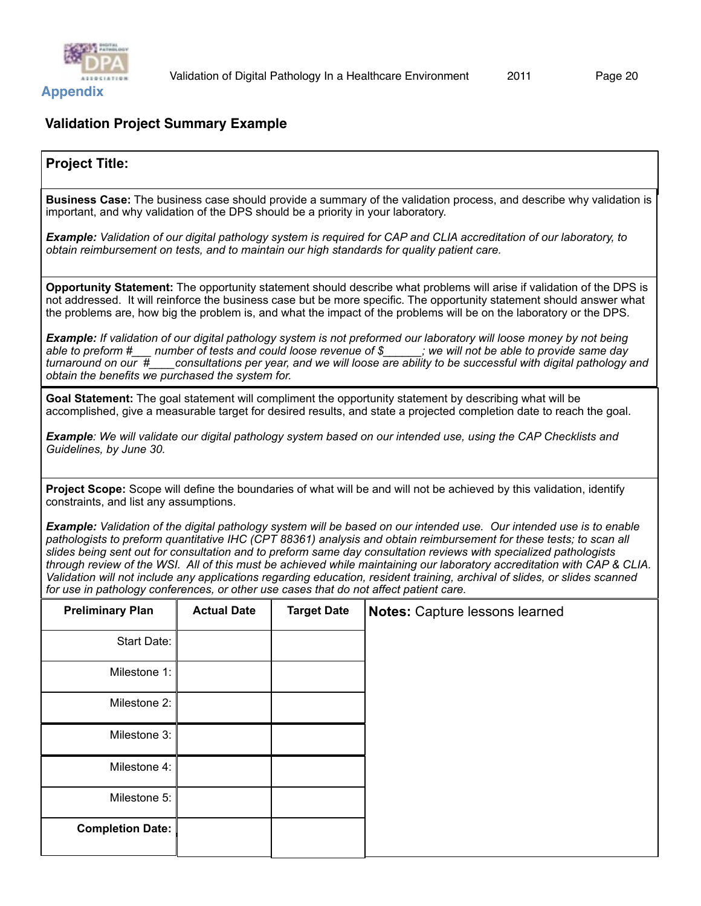

## <span id="page-19-1"></span><span id="page-19-0"></span>**Validation Project Summary Example**

## **Project Title:**

**Business Case:** The business case should provide a summary of the validation process, and describe why validation is important, and why validation of the DPS should be a priority in your laboratory.

*Example: Validation of our digital pathology system is required for CAP and CLIA accreditation of our laboratory, to obtain reimbursement on tests, and to maintain our high standards for quality patient care.* 

**Opportunity Statement:** The opportunity statement should describe what problems will arise if validation of the DPS is not addressed. It will reinforce the business case but be more specific. The opportunity statement should answer what the problems are, how big the problem is, and what the impact of the problems will be on the laboratory or the DPS.

*Example: If validation of our digital pathology system is not preformed our laboratory will loose money by not being able to preform #\_\_\_ number of tests and could loose revenue of \$\_\_\_\_\_\_; we will not be able to provide same day turnaround on our #\_\_\_\_consultations per year, and we will loose are ability to be successful with digital pathology and obtain the benefits we purchased the system for.* 

**Goal Statement:** The goal statement will compliment the opportunity statement by describing what will be accomplished, give a measurable target for desired results, and state a projected completion date to reach the goal.

*Example: We will validate our digital pathology system based on our intended use, using the CAP Checklists and Guidelines, by June 30.*

**Project Scope:** Scope will define the boundaries of what will be and will not be achieved by this validation, identify constraints, and list any assumptions.

*Example: Validation of the digital pathology system will be based on our intended use. Our intended use is to enable pathologists to preform quantitative IHC (CPT 88361) analysis and obtain reimbursement for these tests; to scan all slides being sent out for consultation and to preform same day consultation reviews with specialized pathologists through review of the WSI. All of this must be achieved while maintaining our laboratory accreditation with CAP & CLIA. Validation will not include any applications regarding education, resident training, archival of slides, or slides scanned for use in pathology conferences, or other use cases that do not affect patient care.* 

| <b>Preliminary Plan</b> | <b>Actual Date</b> | <b>Target Date</b> | Notes: Capture lessons learned |
|-------------------------|--------------------|--------------------|--------------------------------|
| Start Date:             |                    |                    |                                |
| Milestone 1:            |                    |                    |                                |
| Milestone 2:            |                    |                    |                                |
| Milestone 3:            |                    |                    |                                |
| Milestone 4:            |                    |                    |                                |
| Milestone 5:            |                    |                    |                                |
| <b>Completion Date:</b> |                    |                    |                                |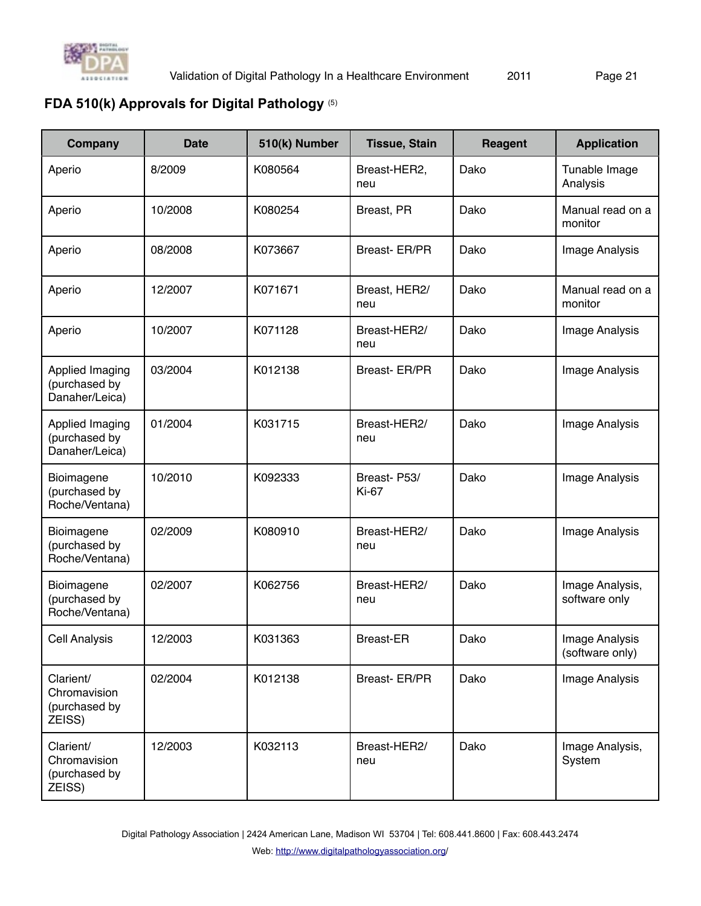

# <span id="page-20-0"></span>**FDA 510(k) Approvals for Digital Pathology** (5)

| Company                                              | <b>Date</b> | 510(k) Number | <b>Tissue, Stain</b>        | Reagent | <b>Application</b>                |
|------------------------------------------------------|-------------|---------------|-----------------------------|---------|-----------------------------------|
| Aperio                                               | 8/2009      | K080564       | Breast-HER2,<br>neu         | Dako    | Tunable Image<br>Analysis         |
| Aperio                                               | 10/2008     | K080254       | Breast, PR                  | Dako    | Manual read on a<br>monitor       |
| Aperio                                               | 08/2008     | K073667       | Breast- ER/PR               | Dako    | Image Analysis                    |
| Aperio                                               | 12/2007     | K071671       | Breast, HER2/<br>neu        | Dako    | Manual read on a<br>monitor       |
| Aperio                                               | 10/2007     | K071128       | Breast-HER2/<br>neu         | Dako    | Image Analysis                    |
| Applied Imaging<br>(purchased by<br>Danaher/Leica)   | 03/2004     | K012138       | Breast- ER/PR               | Dako    | Image Analysis                    |
| Applied Imaging<br>(purchased by<br>Danaher/Leica)   | 01/2004     | K031715       | Breast-HER2/<br>neu         | Dako    | Image Analysis                    |
| Bioimagene<br>(purchased by<br>Roche/Ventana)        | 10/2010     | K092333       | Breast-P53/<br><b>Ki-67</b> | Dako    | Image Analysis                    |
| Bioimagene<br>(purchased by<br>Roche/Ventana)        | 02/2009     | K080910       | Breast-HER2/<br>neu         | Dako    | Image Analysis                    |
| Bioimagene<br>(purchased by<br>Roche/Ventana)        | 02/2007     | K062756       | Breast-HER2/<br>neu         | Dako    | Image Analysis,<br>software only  |
| <b>Cell Analysis</b>                                 | 12/2003     | K031363       | <b>Breast-ER</b>            | Dako    | Image Analysis<br>(software only) |
| Clarient/<br>Chromavision<br>(purchased by<br>ZEISS) | 02/2004     | K012138       | Breast-ER/PR                | Dako    | Image Analysis                    |
| Clarient/<br>Chromavision<br>(purchased by<br>ZEISS) | 12/2003     | K032113       | Breast-HER2/<br>neu         | Dako    | Image Analysis,<br>System         |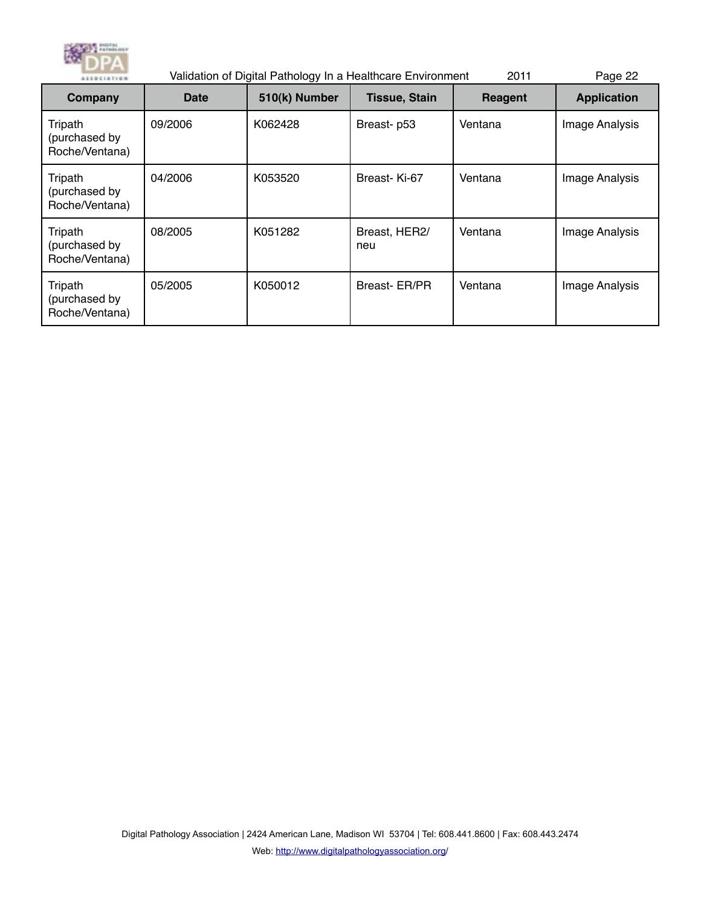

| <b>ASSOCIATION</b>                         | Validation of Digital Pathology In a Healthcare Environment<br>2011 |               |                      |         | Page 22            |
|--------------------------------------------|---------------------------------------------------------------------|---------------|----------------------|---------|--------------------|
| Company                                    | Date                                                                | 510(k) Number | <b>Tissue, Stain</b> | Reagent | <b>Application</b> |
| Tripath<br>(purchased by<br>Roche/Ventana) | 09/2006                                                             | K062428       | Breast-p53           | Ventana | Image Analysis     |
| Tripath<br>(purchased by<br>Roche/Ventana) | 04/2006                                                             | K053520       | Breast-Ki-67         | Ventana | Image Analysis     |
| Tripath<br>(purchased by<br>Roche/Ventana) | 08/2005                                                             | K051282       | Breast, HER2/<br>neu | Ventana | Image Analysis     |
| Tripath<br>(purchased by<br>Roche/Ventana) | 05/2005                                                             | K050012       | Breast- ER/PR        | Ventana | Image Analysis     |